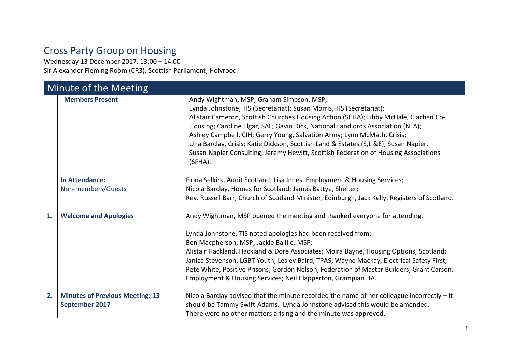## Cross Party Group on Housing

Wednesday 13 December 2017, 13:00 – 14:00 Sir Alexander Fleming Room (CR3), Scottish Parliament, Holyrood

| Minute of the Meeting |                                                          |                                                                                                                                                                                                                                                                                                                                                                                                                                                                                                                                                                 |
|-----------------------|----------------------------------------------------------|-----------------------------------------------------------------------------------------------------------------------------------------------------------------------------------------------------------------------------------------------------------------------------------------------------------------------------------------------------------------------------------------------------------------------------------------------------------------------------------------------------------------------------------------------------------------|
|                       | <b>Members Present</b>                                   | Andy Wightman, MSP; Graham Simpson, MSP;<br>Lynda Johnstone, TIS (Secretariat); Susan Morris, TIS (Secretariat);<br>Alistair Cameron, Scottish Churches Housing Action (SCHA); Libby McHale, Clachan Co-<br>Housing; Caroline Elgar, SAL; Gavin Dick, National Landlords Association (NLA);<br>Ashley Campbell, CIH; Gerry Young, Salvation Army; Lynn McMath, Crisis;<br>Una Barclay, Crisis; Katie Dickson, Scottish Land & Estates (S,L &E); Susan Napier,<br>Susan Napier Consulting; Jeremy Hewitt, Scottish Federation of Housing Associations<br>(SFHA). |
|                       | <b>In Attendance:</b><br>Non-members/Guests              | Fiona Selkirk, Audit Scotland; Lisa Innes, Employment & Housing Services;<br>Nicola Barclay, Homes for Scotland; James Battye, Shelter;<br>Rev. Russell Barr, Church of Scotland Minister, Edinburgh, Jack Kelly, Registers of Scotland.                                                                                                                                                                                                                                                                                                                        |
| 1.                    | <b>Welcome and Apologies</b>                             | Andy Wightman, MSP opened the meeting and thanked everyone for attending.<br>Lynda Johnstone, TIS noted apologies had been received from:<br>Ben Macpherson, MSP; Jackie Baillie, MSP;<br>Alistair Hackland, Hackland & Dore Associates; Moira Bayne, Housing Options, Scotland;<br>Janice Stevenson, LGBT Youth; Lesley Baird, TPAS; Wayne Mackay, Electrical Safety First;<br>Pete White, Positive Prisons; Gordon Nelson, Federation of Master Builders; Grant Carson,<br>Employment & Housing Services; Neil Clapperton, Grampian HA.                       |
| 2.                    | <b>Minutes of Previous Meeting: 13</b><br>September 2017 | Nicola Barclay advised that the minute recorded the name of her colleague incorrectly - It<br>should be Tammy Swift-Adams. Lynda Johnstone advised this would be amended.<br>There were no other matters arising and the minute was approved.                                                                                                                                                                                                                                                                                                                   |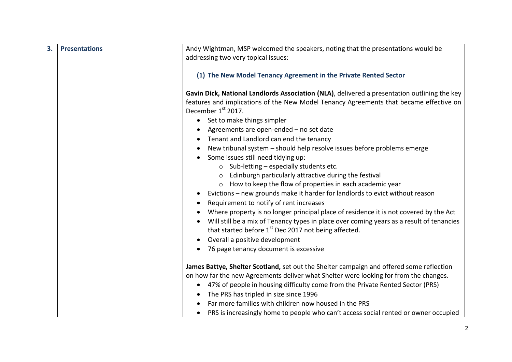| 3. | <b>Presentations</b> | Andy Wightman, MSP welcomed the speakers, noting that the presentations would be<br>addressing two very topical issues:                                                                                                                                 |
|----|----------------------|---------------------------------------------------------------------------------------------------------------------------------------------------------------------------------------------------------------------------------------------------------|
|    |                      | (1) The New Model Tenancy Agreement in the Private Rented Sector                                                                                                                                                                                        |
|    |                      | Gavin Dick, National Landlords Association (NLA), delivered a presentation outlining the key<br>features and implications of the New Model Tenancy Agreements that became effective on<br>December 1st 2017.<br>Set to make things simpler<br>$\bullet$ |
|    |                      | Agreements are open-ended - no set date                                                                                                                                                                                                                 |
|    |                      | Tenant and Landlord can end the tenancy                                                                                                                                                                                                                 |
|    |                      | New tribunal system - should help resolve issues before problems emerge<br>$\bullet$                                                                                                                                                                    |
|    |                      | Some issues still need tidying up:                                                                                                                                                                                                                      |
|    |                      | $\circ$ Sub-letting – especially students etc.                                                                                                                                                                                                          |
|    |                      | o Edinburgh particularly attractive during the festival                                                                                                                                                                                                 |
|    |                      | o How to keep the flow of properties in each academic year                                                                                                                                                                                              |
|    |                      | Evictions - new grounds make it harder for landlords to evict without reason                                                                                                                                                                            |
|    |                      | Requirement to notify of rent increases                                                                                                                                                                                                                 |
|    |                      | Where property is no longer principal place of residence it is not covered by the Act                                                                                                                                                                   |
|    |                      | Will still be a mix of Tenancy types in place over coming years as a result of tenancies<br>$\bullet$<br>that started before 1 <sup>st</sup> Dec 2017 not being affected.                                                                               |
|    |                      | Overall a positive development                                                                                                                                                                                                                          |
|    |                      | 76 page tenancy document is excessive                                                                                                                                                                                                                   |
|    |                      | James Battye, Shelter Scotland, set out the Shelter campaign and offered some reflection                                                                                                                                                                |
|    |                      | on how far the new Agreements deliver what Shelter were looking for from the changes.                                                                                                                                                                   |
|    |                      | 47% of people in housing difficulty come from the Private Rented Sector (PRS)<br>$\bullet$                                                                                                                                                              |
|    |                      | The PRS has tripled in size since 1996                                                                                                                                                                                                                  |
|    |                      | Far more families with children now housed in the PRS                                                                                                                                                                                                   |
|    |                      | PRS is increasingly home to people who can't access social rented or owner occupied                                                                                                                                                                     |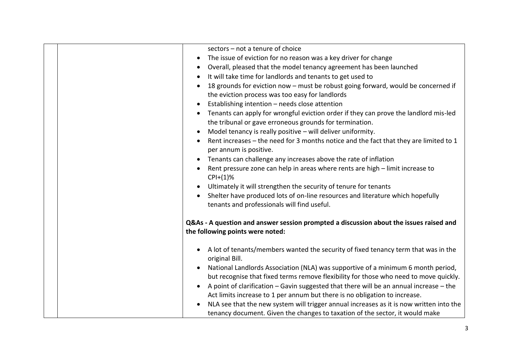|  | sectors - not a tenure of choice<br>The issue of eviction for no reason was a key driver for change<br>$\bullet$<br>Overall, pleased that the model tenancy agreement has been launched<br>$\bullet$<br>It will take time for landlords and tenants to get used to<br>$\bullet$<br>18 grounds for eviction now - must be robust going forward, would be concerned if<br>the eviction process was too easy for landlords<br>Establishing intention - needs close attention<br>$\bullet$<br>Tenants can apply for wrongful eviction order if they can prove the landlord mis-led<br>the tribunal or gave erroneous grounds for termination.<br>Model tenancy is really positive - will deliver uniformity.<br>Rent increases – the need for 3 months notice and the fact that they are limited to 1 |
|--|---------------------------------------------------------------------------------------------------------------------------------------------------------------------------------------------------------------------------------------------------------------------------------------------------------------------------------------------------------------------------------------------------------------------------------------------------------------------------------------------------------------------------------------------------------------------------------------------------------------------------------------------------------------------------------------------------------------------------------------------------------------------------------------------------|
|  | per annum is positive.<br>Tenants can challenge any increases above the rate of inflation<br>$\bullet$<br>Rent pressure zone can help in areas where rents are high - limit increase to<br>$CPI+(1)\%$<br>Ultimately it will strengthen the security of tenure for tenants<br>Shelter have produced lots of on-line resources and literature which hopefully<br>$\bullet$<br>tenants and professionals will find useful.                                                                                                                                                                                                                                                                                                                                                                          |
|  | Q&As - A question and answer session prompted a discussion about the issues raised and<br>the following points were noted:                                                                                                                                                                                                                                                                                                                                                                                                                                                                                                                                                                                                                                                                        |
|  | A lot of tenants/members wanted the security of fixed tenancy term that was in the<br>$\bullet$<br>original Bill.<br>National Landlords Association (NLA) was supportive of a minimum 6 month period,<br>but recognise that fixed terms remove flexibility for those who need to move quickly.<br>A point of clarification - Gavin suggested that there will be an annual increase - the<br>Act limits increase to 1 per annum but there is no obligation to increase.<br>NLA see that the new system will trigger annual increases as it is now written into the<br>$\bullet$<br>tenancy document. Given the changes to taxation of the sector, it would make                                                                                                                                    |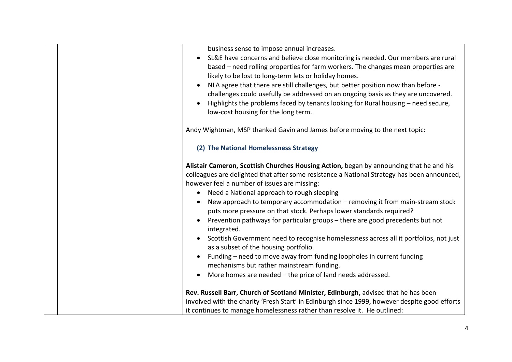| business sense to impose annual increases.<br>SL&E have concerns and believe close monitoring is needed. Our members are rural<br>based – need rolling properties for farm workers. The changes mean properties are<br>likely to be lost to long-term lets or holiday homes.<br>NLA agree that there are still challenges, but better position now than before -<br>challenges could usefully be addressed on an ongoing basis as they are uncovered.<br>Highlights the problems faced by tenants looking for Rural housing - need secure,<br>low-cost housing for the long term.                                                                                                                                                                                                                                                                                                |
|----------------------------------------------------------------------------------------------------------------------------------------------------------------------------------------------------------------------------------------------------------------------------------------------------------------------------------------------------------------------------------------------------------------------------------------------------------------------------------------------------------------------------------------------------------------------------------------------------------------------------------------------------------------------------------------------------------------------------------------------------------------------------------------------------------------------------------------------------------------------------------|
| Andy Wightman, MSP thanked Gavin and James before moving to the next topic:                                                                                                                                                                                                                                                                                                                                                                                                                                                                                                                                                                                                                                                                                                                                                                                                      |
| (2) The National Homelessness Strategy                                                                                                                                                                                                                                                                                                                                                                                                                                                                                                                                                                                                                                                                                                                                                                                                                                           |
| Alistair Cameron, Scottish Churches Housing Action, began by announcing that he and his<br>colleagues are delighted that after some resistance a National Strategy has been announced,<br>however feel a number of issues are missing:<br>• Need a National approach to rough sleeping<br>New approach to temporary accommodation - removing it from main-stream stock<br>puts more pressure on that stock. Perhaps lower standards required?<br>Prevention pathways for particular groups - there are good precedents but not<br>integrated.<br>Scottish Government need to recognise homelessness across all it portfolios, not just<br>as a subset of the housing portfolio.<br>Funding - need to move away from funding loopholes in current funding<br>mechanisms but rather mainstream funding.<br>More homes are needed - the price of land needs addressed.<br>$\bullet$ |
| Rev. Russell Barr, Church of Scotland Minister, Edinburgh, advised that he has been<br>involved with the charity 'Fresh Start' in Edinburgh since 1999, however despite good efforts<br>it continues to manage homelessness rather than resolve it. He outlined:                                                                                                                                                                                                                                                                                                                                                                                                                                                                                                                                                                                                                 |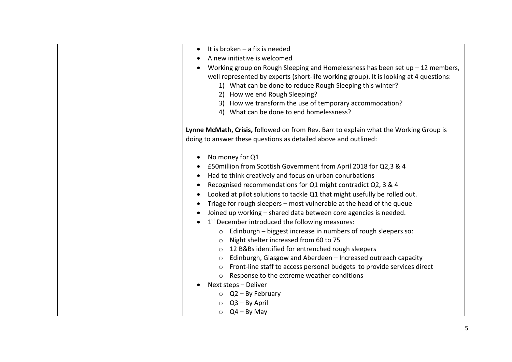| It is broken $-$ a fix is needed<br>$\bullet$                                         |
|---------------------------------------------------------------------------------------|
| A new initiative is welcomed                                                          |
| Working group on Rough Sleeping and Homelessness has been set $up - 12$ members,      |
| well represented by experts (short-life working group). It is looking at 4 questions: |
| 1) What can be done to reduce Rough Sleeping this winter?                             |
| 2) How we end Rough Sleeping?                                                         |
| 3) How we transform the use of temporary accommodation?                               |
| 4) What can be done to end homelessness?                                              |
| Lynne McMath, Crisis, followed on from Rev. Barr to explain what the Working Group is |
| doing to answer these questions as detailed above and outlined:                       |
| No money for Q1                                                                       |
| £50 million from Scottish Government from April 2018 for Q2,3 & 4                     |
| Had to think creatively and focus on urban conurbations<br>$\bullet$                  |
| Recognised recommendations for Q1 might contradict Q2, 3 & 4                          |
| Looked at pilot solutions to tackle Q1 that might usefully be rolled out.             |
| Triage for rough sleepers - most vulnerable at the head of the queue                  |
| Joined up working - shared data between core agencies is needed.                      |
| 1 <sup>st</sup> December introduced the following measures:                           |
| Edinburgh - biggest increase in numbers of rough sleepers so:<br>$\circ$              |
| Night shelter increased from 60 to 75<br>$\circ$                                      |
| 12 B&Bs identified for entrenched rough sleepers<br>$\circ$                           |
| Edinburgh, Glasgow and Aberdeen - Increased outreach capacity<br>$\circ$              |
| Front-line staff to access personal budgets to provide services direct                |
| Response to the extreme weather conditions<br>$\circ$                                 |
| Next steps - Deliver                                                                  |
|                                                                                       |
| $\circ$ Q2 - By February                                                              |
| $Q3 - By April$                                                                       |
| $\circ$ Q4 – By May                                                                   |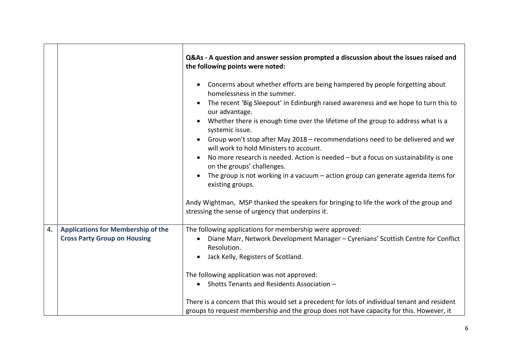|    |                                           | Q&As - A question and answer session prompted a discussion about the issues raised and<br>the following points were noted:                  |
|----|-------------------------------------------|---------------------------------------------------------------------------------------------------------------------------------------------|
|    |                                           | Concerns about whether efforts are being hampered by people forgetting about<br>$\bullet$<br>homelessness in the summer.                    |
|    |                                           | The recent 'Big Sleepout' in Edinburgh raised awareness and we hope to turn this to<br>$\bullet$<br>our advantage.                          |
|    |                                           | Whether there is enough time over the lifetime of the group to address what is a<br>systemic issue.                                         |
|    |                                           | Group won't stop after May 2018 - recommendations need to be delivered and we<br>will work to hold Ministers to account.                    |
|    |                                           | No more research is needed. Action is needed - but a focus on sustainability is one<br>on the groups' challenges.                           |
|    |                                           | The group is not working in a vacuum $-$ action group can generate agenda items for<br>existing groups.                                     |
|    |                                           | Andy Wightman, MSP thanked the speakers for bringing to life the work of the group and<br>stressing the sense of urgency that underpins it. |
| 4. | <b>Applications for Membership of the</b> | The following applications for membership were approved:                                                                                    |
|    | <b>Cross Party Group on Housing</b>       | Diane Marr, Network Development Manager - Cyrenians' Scottish Centre for Conflict<br>$\bullet$<br>Resolution.                               |
|    |                                           | Jack Kelly, Registers of Scotland.<br>$\bullet$                                                                                             |
|    |                                           | The following application was not approved:                                                                                                 |
|    |                                           | Shotts Tenants and Residents Association -                                                                                                  |
|    |                                           | There is a concern that this would set a precedent for lots of individual tenant and resident                                               |
|    |                                           | groups to request membership and the group does not have capacity for this. However, it                                                     |